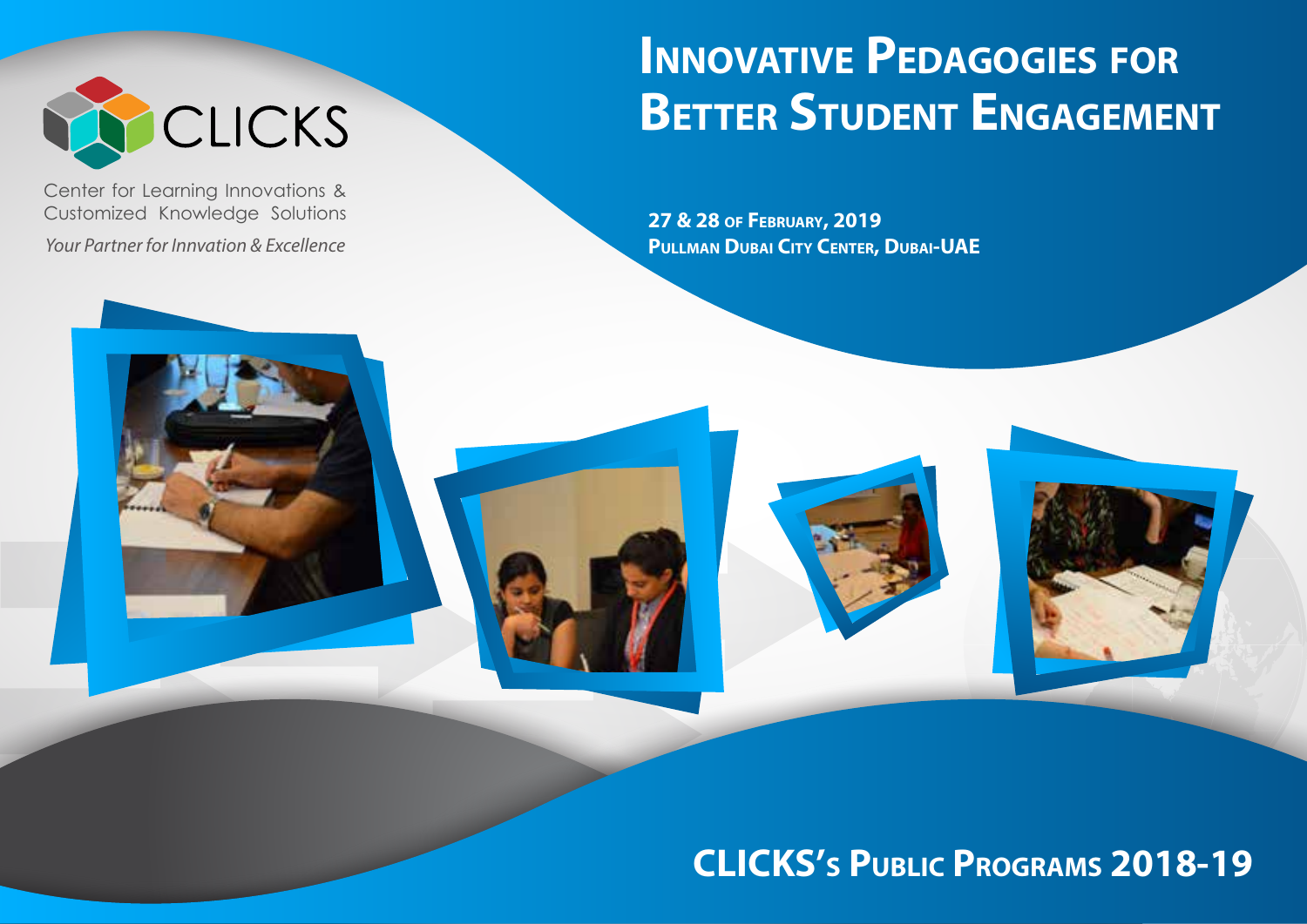

Center for Learning Innovations & Customized Knowledge Solutions

*Your Partner for Innvation & Excellence*

# **INNOVATIVE PEDAGOGIES FOR BETTER STUDENT ENGAGEMENT**

**27 & 28 OF FEBRUARY, 2019 PULLMAN DUBAI CITY CENTER, DUBAI-UAE**

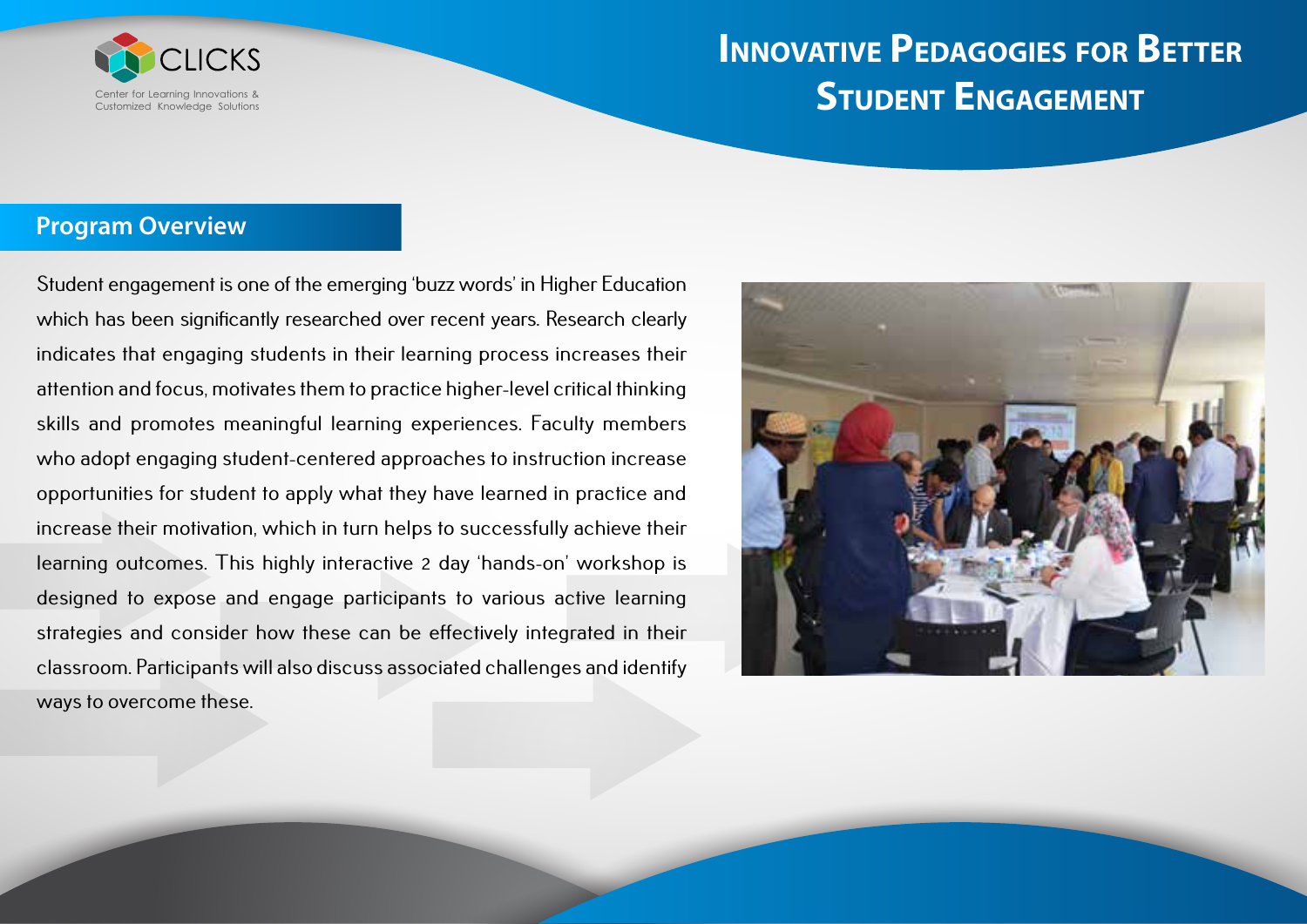

### **Program Overview**

Student engagement is one of the emerging 'buzz words' in Higher Education which has been significantly researched over recent years. Research clearly indicates that engaging students in their learning process increases their attention and focus, motivates them to practice higher-level critical thinking skills and promotes meaningful learning experiences. Faculty members who adopt engaging student-centered approaches to instruction increase opportunities for student to apply what they have learned in practice and increase their motivation, which in turn helps to successfully achieve their learning outcomes. This highly interactive 2 day 'hands-on' workshop is designed to expose and engage participants to various active learning strategies and consider how these can be effectively integrated in their classroom. Participants will also discuss associated challenges and identify ways to overcome these.

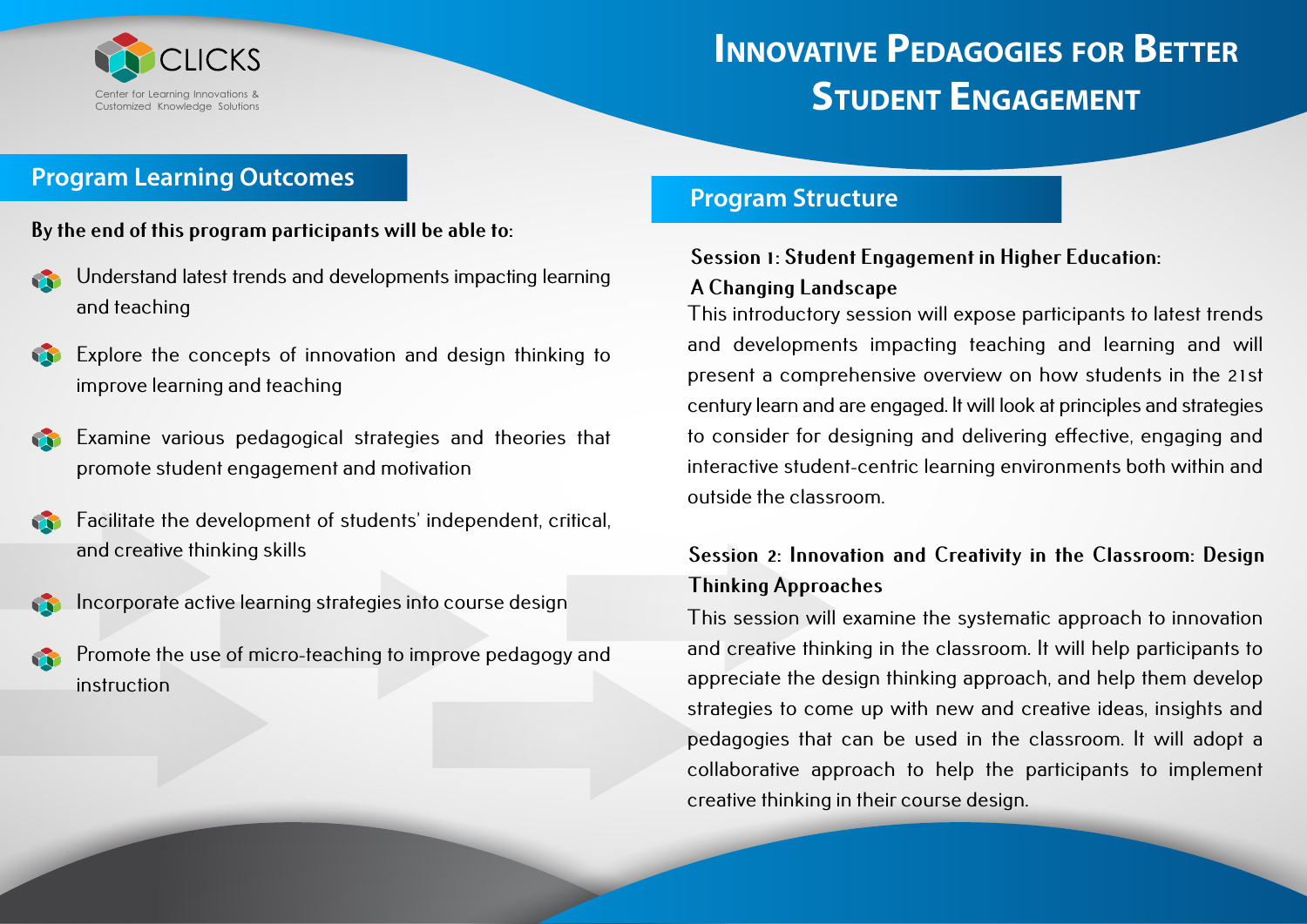

### **Program Learning Outcomes**

#### **By the end of this program participants will be able to:**

- Understand latest trends and developments impacting learning and teaching
- Explore the concepts of innovation and design thinking to improve learning and teaching
- Examine various pedagogical strategies and theories that promote student engagement and motivation
- Facilitate the development of students' independent, critical, and creative thinking skills
- Incorporate active learning strategies into course design
- Promote the use of micro-teaching to improve pedagogy and instruction

#### **Program Structure**

#### **Session 1: Student Engagement in Higher Education:**

#### **A Changing Landscape**

This introductory session will expose participants to latest trends and developments impacting teaching and learning and will present a comprehensive overview on how students in the 21st century learn and are engaged. It will look at principles and strategies to consider for designing and delivering effective, engaging and interactive student-centric learning environments both within and outside the classroom.

### **Session 2: Innovation and Creativity in the Classroom: Design Thinking Approaches**

This session will examine the systematic approach to innovation and creative thinking in the classroom. It will help participants to appreciate the design thinking approach, and help them develop strategies to come up with new and creative ideas, insights and pedagogies that can be used in the classroom. It will adopt a collaborative approach to help the participants to implement creative thinking in their course design.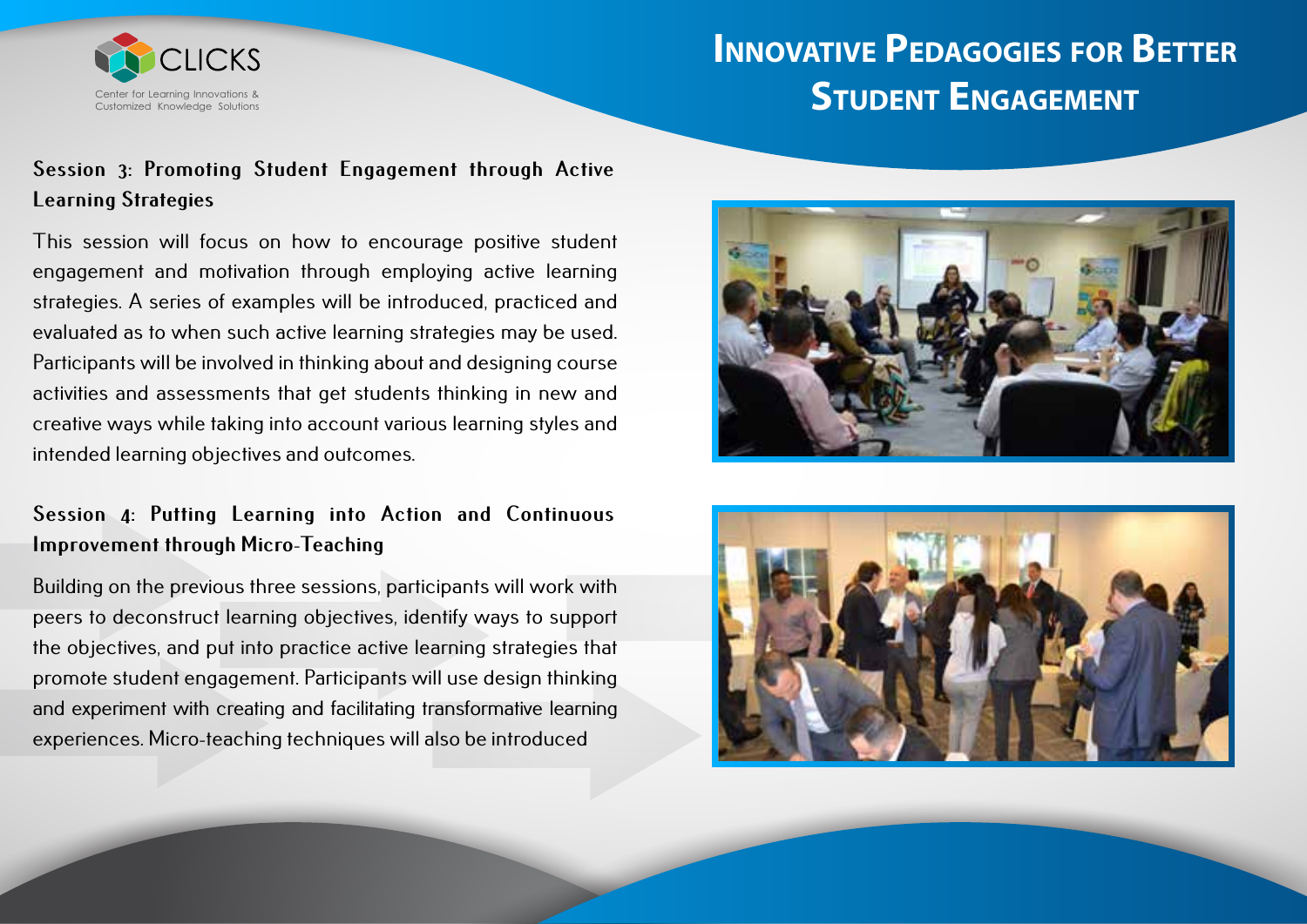

### **Session 3: Promoting Student Engagement through Active Learning Strategies**

This session will focus on how to encourage positive student engagement and motivation through employing active learning strategies. A series of examples will be introduced, practiced and evaluated as to when such active learning strategies may be used. Participants will be involved in thinking about and designing course activities and assessments that get students thinking in new and creative ways while taking into account various learning styles and intended learning objectives and outcomes.

### **Session 4: Putting Learning into Action and Continuous Improvement through Micro-Teaching**

Building on the previous three sessions, participants will work with peers to deconstruct learning objectives, identify ways to support the objectives, and put into practice active learning strategies that promote student engagement. Participants will use design thinking and experiment with creating and facilitating transformative learning experiences. Micro-teaching techniques will also be introduced



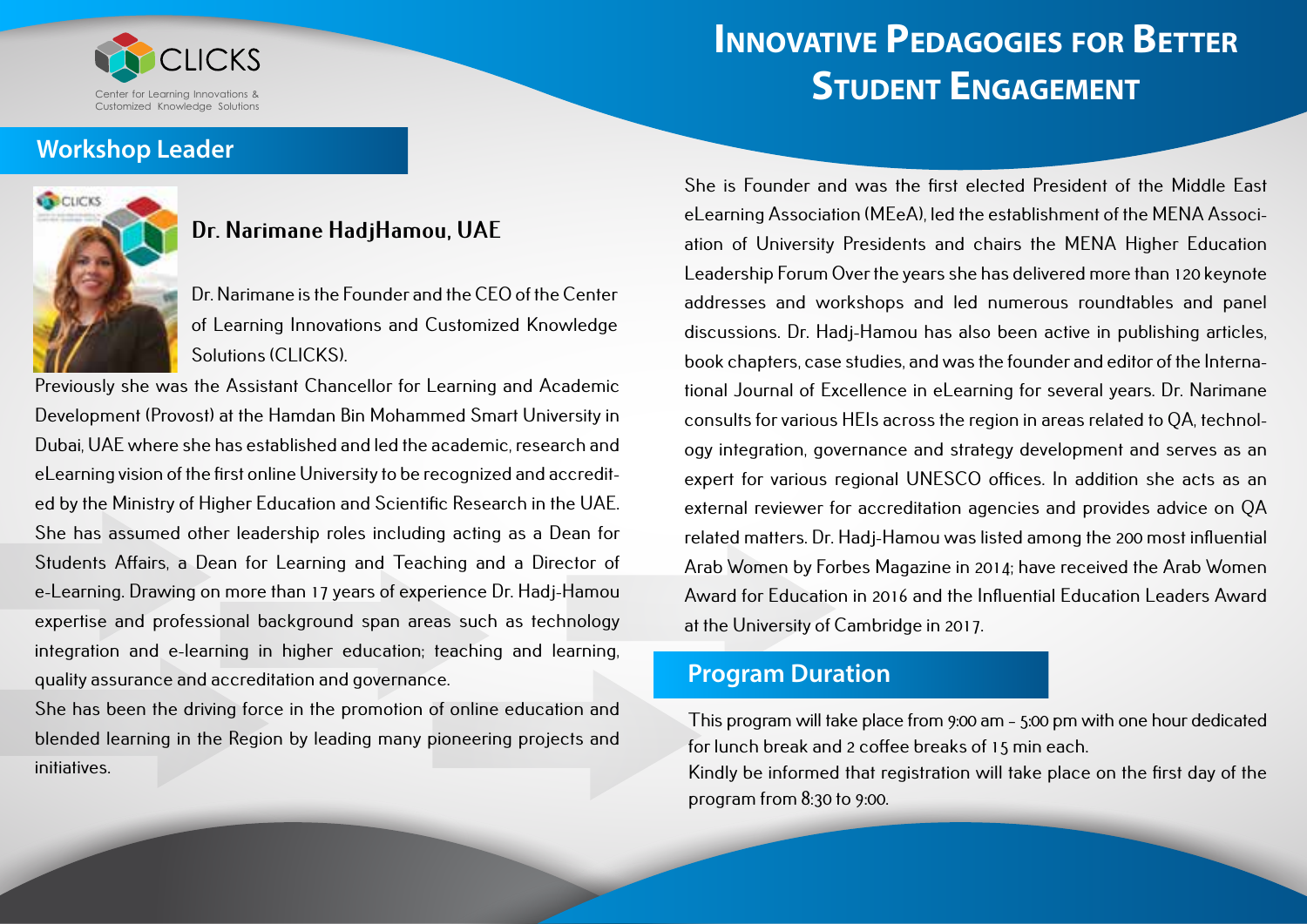

#### **Workshop Leader**



### **Dr. Narimane HadjHamou, UAE**

Dr. Narimane is the Founder and the CEO of the Center of Learning Innovations and Customized Knowledge Solutions (CLICKS).

Previously she was the Assistant Chancellor for Learning and Academic Development (Provost) at the Hamdan Bin Mohammed Smart University in Dubai, UAE where she has established and led the academic, research and eLearning vision of the first online University to be recognized and accredited by the Ministry of Higher Education and Scientific Research in the UAE. She has assumed other leadership roles including acting as a Dean for Students Affairs, a Dean for Learning and Teaching and a Director of e-Learning. Drawing on more than 17 years of experience Dr. Hadj-Hamou expertise and professional background span areas such as technology integration and e-learning in higher education; teaching and learning, quality assurance and accreditation and governance.

She has been the driving force in the promotion of online education and blended learning in the Region by leading many pioneering projects and initiatives.

She is Founder and was the first elected President of the Middle East eLearning Association (MEeA), led the establishment of the MENA Association of University Presidents and chairs the MENA Higher Education Leadership Forum Over the years she has delivered more than 120 keynote addresses and workshops and led numerous roundtables and panel discussions. Dr. Hadj-Hamou has also been active in publishing articles, book chapters, case studies, and was the founder and editor of the International Journal of Excellence in eLearning for several years. Dr. Narimane consults for various HEIs across the region in areas related to QA, technology integration, governance and strategy development and serves as an expert for various regional UNESCO offices. In addition she acts as an external reviewer for accreditation agencies and provides advice on QA related matters. Dr. Hadj-Hamou was listed among the 200 most influential Arab Women by Forbes Magazine in 2014; have received the Arab Women Award for Education in 2016 and the Influential Education Leaders Award at the University of Cambridge in 2017.

### **Program Duration**

This program will take place from 9:00 am – 5:00 pm with one hour dedicated for lunch break and 2 coffee breaks of 15 min each.

Kindly be informed that registration will take place on the first day of the program from 8:30 to 9:00.